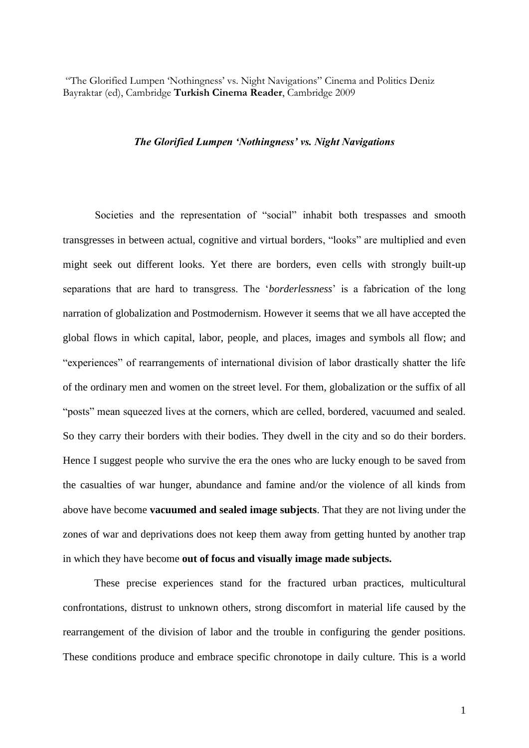"The Glorified Lumpen 'Nothingness' vs. Night Navigations" Cinema and Politics Deniz Bayraktar (ed), Cambridge **Turkish Cinema Reader**, Cambridge 2009

## *The Glorified Lumpen 'Nothingness' vs. Night Navigations*

Societies and the representation of "social" inhabit both trespasses and smooth transgresses in between actual, cognitive and virtual borders, "looks" are multiplied and even might seek out different looks. Yet there are borders, even cells with strongly built-up separations that are hard to transgress. The '*borderlessness*' is a fabrication of the long narration of globalization and Postmodernism. However it seems that we all have accepted the global flows in which capital, labor, people, and places, images and symbols all flow; and "experiences" of rearrangements of international division of labor drastically shatter the life of the ordinary men and women on the street level. For them, globalization or the suffix of all "posts" mean squeezed lives at the corners, which are celled, bordered, vacuumed and sealed. So they carry their borders with their bodies. They dwell in the city and so do their borders. Hence I suggest people who survive the era the ones who are lucky enough to be saved from the casualties of war hunger, abundance and famine and/or the violence of all kinds from above have become **vacuumed and sealed image subjects**. That they are not living under the zones of war and deprivations does not keep them away from getting hunted by another trap in which they have become **out of focus and visually image made subjects.**

These precise experiences stand for the fractured urban practices, multicultural confrontations, distrust to unknown others, strong discomfort in material life caused by the rearrangement of the division of labor and the trouble in configuring the gender positions. These conditions produce and embrace specific chronotope in daily culture. This is a world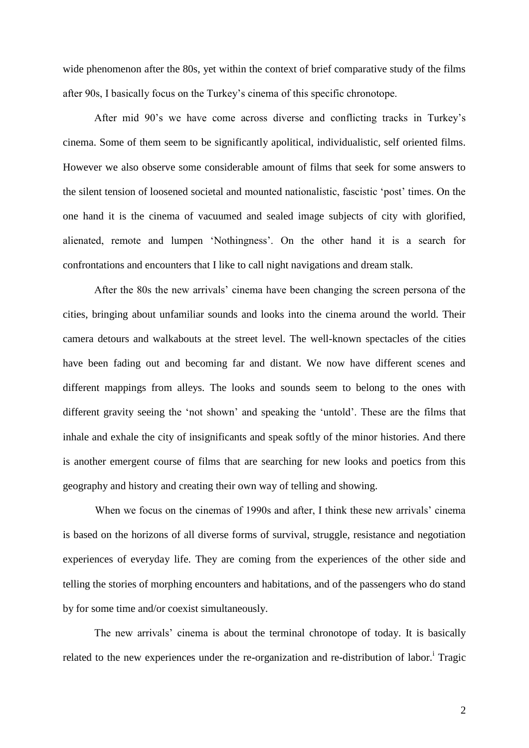wide phenomenon after the 80s, yet within the context of brief comparative study of the films after 90s, I basically focus on the Turkey's cinema of this specific chronotope.

After mid 90's we have come across diverse and conflicting tracks in Turkey's cinema. Some of them seem to be significantly apolitical, individualistic, self oriented films. However we also observe some considerable amount of films that seek for some answers to the silent tension of loosened societal and mounted nationalistic, fascistic 'post' times. On the one hand it is the cinema of vacuumed and sealed image subjects of city with glorified, alienated, remote and lumpen 'Nothingness'. On the other hand it is a search for confrontations and encounters that I like to call night navigations and dream stalk.

After the 80s the new arrivals' cinema have been changing the screen persona of the cities, bringing about unfamiliar sounds and looks into the cinema around the world. Their camera detours and walkabouts at the street level. The well-known spectacles of the cities have been fading out and becoming far and distant. We now have different scenes and different mappings from alleys. The looks and sounds seem to belong to the ones with different gravity seeing the 'not shown' and speaking the 'untold'. These are the films that inhale and exhale the city of insignificants and speak softly of the minor histories. And there is another emergent course of films that are searching for new looks and poetics from this geography and history and creating their own way of telling and showing.

When we focus on the cinemas of 1990s and after, I think these new arrivals' cinema is based on the horizons of all diverse forms of survival, struggle, resistance and negotiation experiences of everyday life. They are coming from the experiences of the other side and telling the stories of morphing encounters and habitations, and of the passengers who do stand by for some time and/or coexist simultaneously.

The new arrivals' cinema is about the terminal chronotope of today. It is basically related to the new experiences under the re-organization and re-distribution of labor.<sup>i</sup> Tragic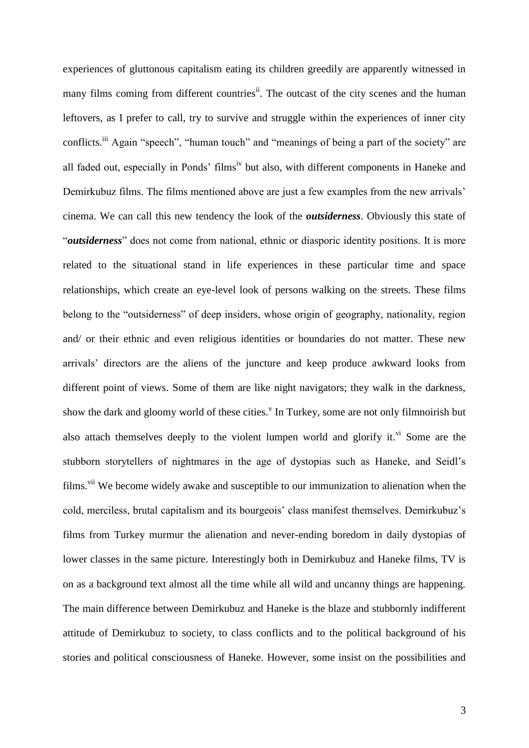experiences of gluttonous capitalism eating its children greedily are apparently witnessed in many films coming from different countries<sup>ii</sup>. The outcast of the city scenes and the human leftovers, as I prefer to call, try to survive and struggle within the experiences of inner city conflicts.<sup>iii</sup> Again "speech", "human touch" and "meanings of being a part of the society" are all faded out, especially in Ponds' films<sup>iv</sup> but also, with different components in Haneke and Demirkubuz films. The films mentioned above are just a few examples from the new arrivals' cinema. We can call this new tendency the look of the *outsiderness*. Obviously this state of "*outsiderness*" does not come from national, ethnic or diasporic identity positions. It is more related to the situational stand in life experiences in these particular time and space relationships, which create an eye-level look of persons walking on the streets. These films belong to the "outsiderness" of deep insiders, whose origin of geography, nationality, region and/ or their ethnic and even religious identities or boundaries do not matter. These new arrivals' directors are the aliens of the juncture and keep produce awkward looks from different point of views. Some of them are like night navigators; they walk in the darkness, show the dark and gloomy world of these cities.<sup>V</sup> In Turkey, some are not only filmnoirish but also attach themselves deeply to the violent lumpen world and glorify it. <sup>vi</sup> Some are the stubborn storytellers of nightmares in the age of dystopias such as Haneke, and Seidl's films.<sup>vii</sup> We become widely awake and susceptible to our immunization to alienation when the cold, merciless, brutal capitalism and its bourgeois' class manifest themselves. Demirkubuz's films from Turkey murmur the alienation and never-ending boredom in daily dystopias of lower classes in the same picture. Interestingly both in Demirkubuz and Haneke films, TV is on as a background text almost all the time while all wild and uncanny things are happening. The main difference between Demirkubuz and Haneke is the blaze and stubbornly indifferent attitude of Demirkubuz to society, to class conflicts and to the political background of his stories and political consciousness of Haneke. However, some insist on the possibilities and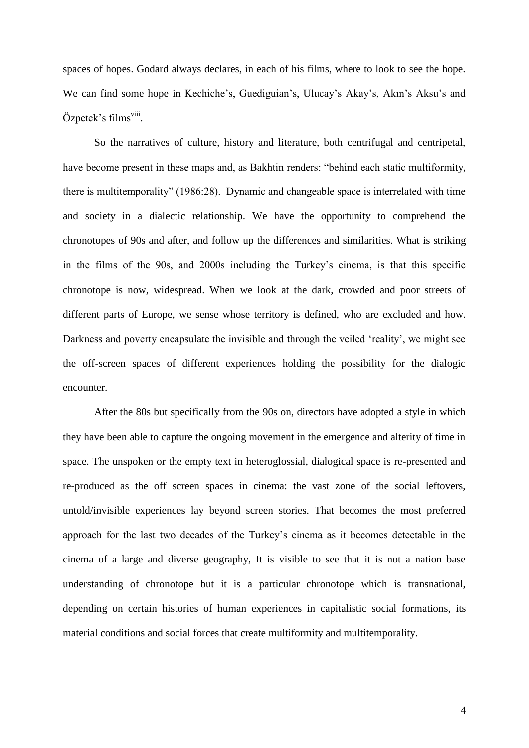spaces of hopes. Godard always declares, in each of his films, where to look to see the hope. We can find some hope in Kechiche's, Guediguian's, Ulucay's Akay's, Akın's Aksu's and Özpetek's films<sup>viii</sup>.

So the narratives of culture, history and literature, both centrifugal and centripetal, have become present in these maps and, as Bakhtin renders: "behind each static multiformity, there is multitemporality" (1986:28). Dynamic and changeable space is interrelated with time and society in a dialectic relationship. We have the opportunity to comprehend the chronotopes of 90s and after, and follow up the differences and similarities. What is striking in the films of the 90s, and 2000s including the Turkey's cinema, is that this specific chronotope is now, widespread. When we look at the dark, crowded and poor streets of different parts of Europe, we sense whose territory is defined, who are excluded and how. Darkness and poverty encapsulate the invisible and through the veiled 'reality', we might see the off-screen spaces of different experiences holding the possibility for the dialogic encounter.

After the 80s but specifically from the 90s on, directors have adopted a style in which they have been able to capture the ongoing movement in the emergence and alterity of time in space. The unspoken or the empty text in heteroglossial, dialogical space is re-presented and re-produced as the off screen spaces in cinema: the vast zone of the social leftovers, untold/invisible experiences lay beyond screen stories. That becomes the most preferred approach for the last two decades of the Turkey's cinema as it becomes detectable in the cinema of a large and diverse geography, It is visible to see that it is not a nation base understanding of chronotope but it is a particular chronotope which is transnational, depending on certain histories of human experiences in capitalistic social formations, its material conditions and social forces that create multiformity and multitemporality.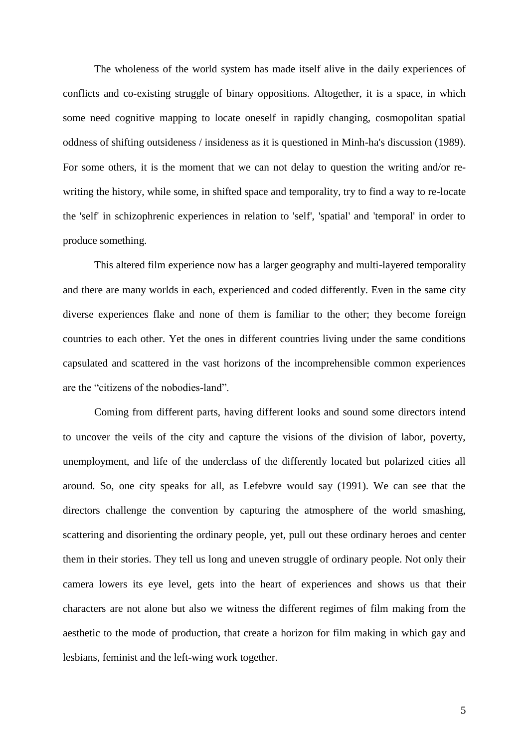The wholeness of the world system has made itself alive in the daily experiences of conflicts and co-existing struggle of binary oppositions. Altogether, it is a space, in which some need cognitive mapping to locate oneself in rapidly changing, cosmopolitan spatial oddness of shifting outsideness / insideness as it is questioned in Minh-ha's discussion (1989). For some others, it is the moment that we can not delay to question the writing and/or rewriting the history, while some, in shifted space and temporality, try to find a way to re-locate the 'self' in schizophrenic experiences in relation to 'self', 'spatial' and 'temporal' in order to produce something.

This altered film experience now has a larger geography and multi-layered temporality and there are many worlds in each, experienced and coded differently. Even in the same city diverse experiences flake and none of them is familiar to the other; they become foreign countries to each other. Yet the ones in different countries living under the same conditions capsulated and scattered in the vast horizons of the incomprehensible common experiences are the "citizens of the nobodies-land".

Coming from different parts, having different looks and sound some directors intend to uncover the veils of the city and capture the visions of the division of labor, poverty, unemployment, and life of the underclass of the differently located but polarized cities all around. So, one city speaks for all, as Lefebvre would say (1991). We can see that the directors challenge the convention by capturing the atmosphere of the world smashing, scattering and disorienting the ordinary people, yet, pull out these ordinary heroes and center them in their stories. They tell us long and uneven struggle of ordinary people. Not only their camera lowers its eye level, gets into the heart of experiences and shows us that their characters are not alone but also we witness the different regimes of film making from the aesthetic to the mode of production, that create a horizon for film making in which gay and lesbians, feminist and the left-wing work together.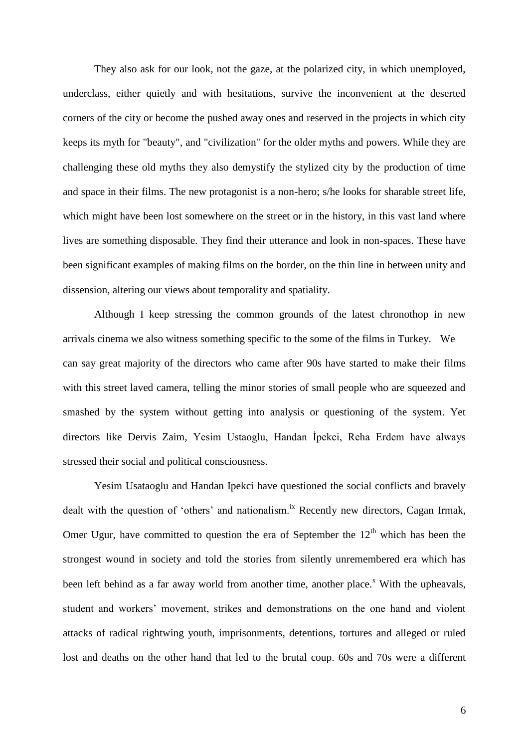They also ask for our look, not the gaze, at the polarized city, in which unemployed, underclass, either quietly and with hesitations, survive the inconvenient at the deserted corners of the city or become the pushed away ones and reserved in the projects in which city keeps its myth for "beauty", and "civilization" for the older myths and powers. While they are challenging these old myths they also demystify the stylized city by the production of time and space in their films. The new protagonist is a non-hero; s/he looks for sharable street life, which might have been lost somewhere on the street or in the history, in this vast land where lives are something disposable. They find their utterance and look in non-spaces. These have been significant examples of making films on the border, on the thin line in between unity and dissension, altering our views about temporality and spatiality.

Although I keep stressing the common grounds of the latest chronothop in new arrivals cinema we also witness something specific to the some of the films in Turkey. We can say great majority of the directors who came after 90s have started to make their films with this street laved camera, telling the minor stories of small people who are squeezed and smashed by the system without getting into analysis or questioning of the system. Yet directors like Dervis Zaim, Yesim Ustaoglu, Handan İpekci, Reha Erdem have always stressed their social and political consciousness.

Yesim Usataoglu and Handan Ipekci have questioned the social conflicts and bravely dealt with the question of 'others' and nationalism.<sup>ix</sup> Recently new directors, Cagan Irmak, Omer Ugur, have committed to question the era of September the  $12<sup>th</sup>$  which has been the strongest wound in society and told the stories from silently unremembered era which has been left behind as a far away world from another time, another place.<sup> $x$ </sup> With the upheavals, student and workers' movement, strikes and demonstrations on the one hand and violent attacks of radical rightwing youth, imprisonments, detentions, tortures and alleged or ruled lost and deaths on the other hand that led to the brutal coup. 60s and 70s were a different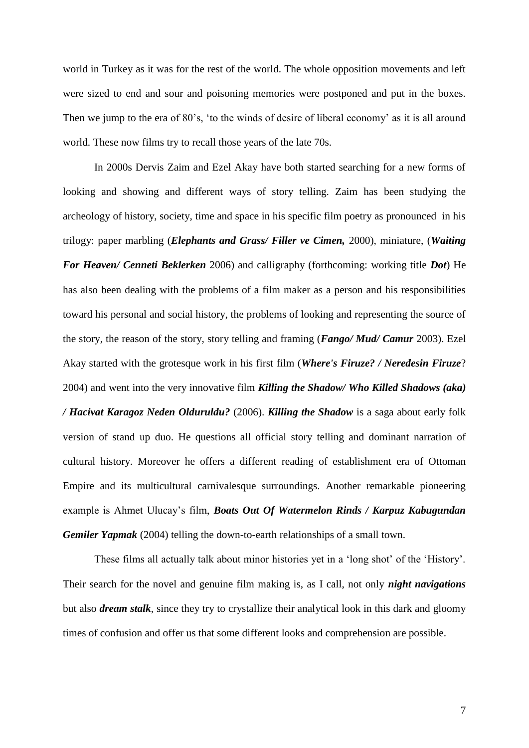world in Turkey as it was for the rest of the world. The whole opposition movements and left were sized to end and sour and poisoning memories were postponed and put in the boxes. Then we jump to the era of 80's, 'to the winds of desire of liberal economy' as it is all around world. These now films try to recall those years of the late 70s.

In 2000s Dervis Zaim and Ezel Akay have both started searching for a new forms of looking and showing and different ways of story telling. Zaim has been studying the archeology of history, society, time and space in his specific film poetry as pronounced in his trilogy: paper marbling (*Elephants and Grass/ Filler ve Cimen,* 2000), miniature, (*Waiting For Heaven/ Cenneti Beklerken* 2006) and calligraphy (forthcoming: working title *Dot*) He has also been dealing with the problems of a film maker as a person and his responsibilities toward his personal and social history, the problems of looking and representing the source of the story, the reason of the story, story telling and framing (*Fango/ Mud/ Camur* 2003). Ezel Akay started with the grotesque work in his first film (*Where's Firuze? / Neredesin Firuze*? 2004) and went into the very innovative film *Killing the Shadow/ Who Killed Shadows (aka) / Hacivat Karagoz Neden Olduruldu?* (2006). *Killing the Shadow* is a saga about early folk version of stand up duo. He questions all official story telling and dominant narration of cultural history. Moreover he offers a different reading of establishment era of Ottoman Empire and its multicultural carnivalesque surroundings. Another remarkable pioneering example is Ahmet Ulucay's film, *Boats Out Of Watermelon Rinds / Karpuz Kabugundan Gemiler Yapmak* (2004) telling the down-to-earth relationships of a small town.

These films all actually talk about minor histories yet in a 'long shot' of the 'History'. Their search for the novel and genuine film making is, as I call, not only *night navigations* but also *dream stalk*, since they try to crystallize their analytical look in this dark and gloomy times of confusion and offer us that some different looks and comprehension are possible.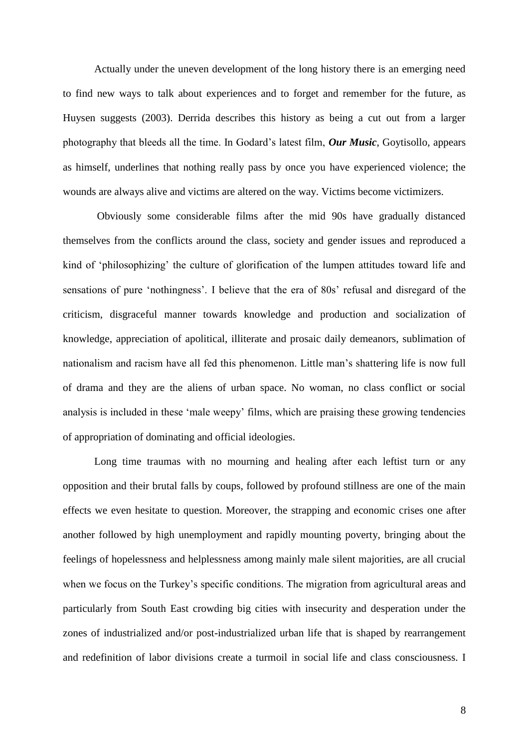Actually under the uneven development of the long history there is an emerging need to find new ways to talk about experiences and to forget and remember for the future, as Huysen suggests (2003). Derrida describes this history as being a cut out from a larger photography that bleeds all the time. In Godard's latest film, *Our Music*, Goytisollo, appears as himself, underlines that nothing really pass by once you have experienced violence; the wounds are always alive and victims are altered on the way. Victims become victimizers.

Obviously some considerable films after the mid 90s have gradually distanced themselves from the conflicts around the class, society and gender issues and reproduced a kind of 'philosophizing' the culture of glorification of the lumpen attitudes toward life and sensations of pure 'nothingness'. I believe that the era of 80s' refusal and disregard of the criticism, disgraceful manner towards knowledge and production and socialization of knowledge, appreciation of apolitical, illiterate and prosaic daily demeanors, sublimation of nationalism and racism have all fed this phenomenon. Little man's shattering life is now full of drama and they are the aliens of urban space. No woman, no class conflict or social analysis is included in these 'male weepy' films, which are praising these growing tendencies of appropriation of dominating and official ideologies.

Long time traumas with no mourning and healing after each leftist turn or any opposition and their brutal falls by coups, followed by profound stillness are one of the main effects we even hesitate to question. Moreover, the strapping and economic crises one after another followed by high unemployment and rapidly mounting poverty, bringing about the feelings of hopelessness and helplessness among mainly male silent majorities, are all crucial when we focus on the Turkey's specific conditions. The migration from agricultural areas and particularly from South East crowding big cities with insecurity and desperation under the zones of industrialized and/or post-industrialized urban life that is shaped by rearrangement and redefinition of labor divisions create a turmoil in social life and class consciousness. I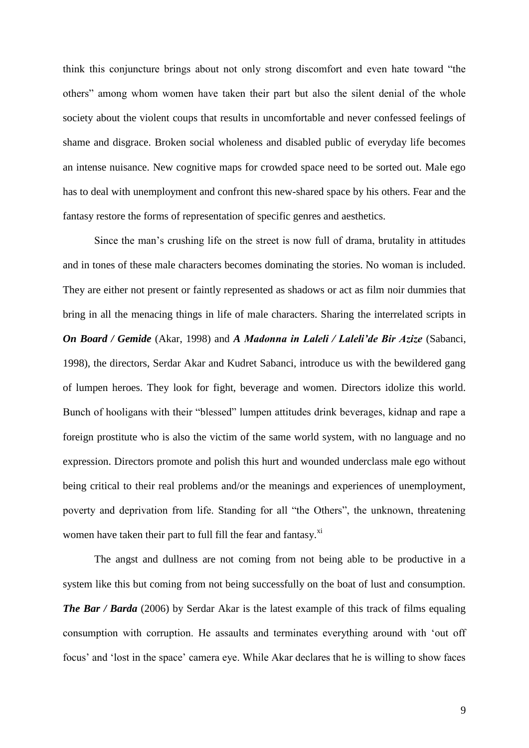think this conjuncture brings about not only strong discomfort and even hate toward "the others" among whom women have taken their part but also the silent denial of the whole society about the violent coups that results in uncomfortable and never confessed feelings of shame and disgrace. Broken social wholeness and disabled public of everyday life becomes an intense nuisance. New cognitive maps for crowded space need to be sorted out. Male ego has to deal with unemployment and confront this new-shared space by his others. Fear and the fantasy restore the forms of representation of specific genres and aesthetics.

Since the man's crushing life on the street is now full of drama, brutality in attitudes and in tones of these male characters becomes dominating the stories. No woman is included. They are either not present or faintly represented as shadows or act as film noir dummies that bring in all the menacing things in life of male characters. Sharing the interrelated scripts in *On Board / Gemide* (Akar, 1998) and *A Madonna in Laleli / Laleli'de Bir Azize* (Sabanci, 1998), the directors, Serdar Akar and Kudret Sabanci, introduce us with the bewildered gang of lumpen heroes. They look for fight, beverage and women. Directors idolize this world. Bunch of hooligans with their "blessed" lumpen attitudes drink beverages, kidnap and rape a foreign prostitute who is also the victim of the same world system, with no language and no expression. Directors promote and polish this hurt and wounded underclass male ego without being critical to their real problems and/or the meanings and experiences of unemployment, poverty and deprivation from life. Standing for all "the Others", the unknown, threatening women have taken their part to full fill the fear and fantasy.<sup>xi</sup>

The angst and dullness are not coming from not being able to be productive in a system like this but coming from not being successfully on the boat of lust and consumption. *The Bar / Barda* (2006) by Serdar Akar is the latest example of this track of films equaling consumption with corruption. He assaults and terminates everything around with 'out off focus' and 'lost in the space' camera eye. While Akar declares that he is willing to show faces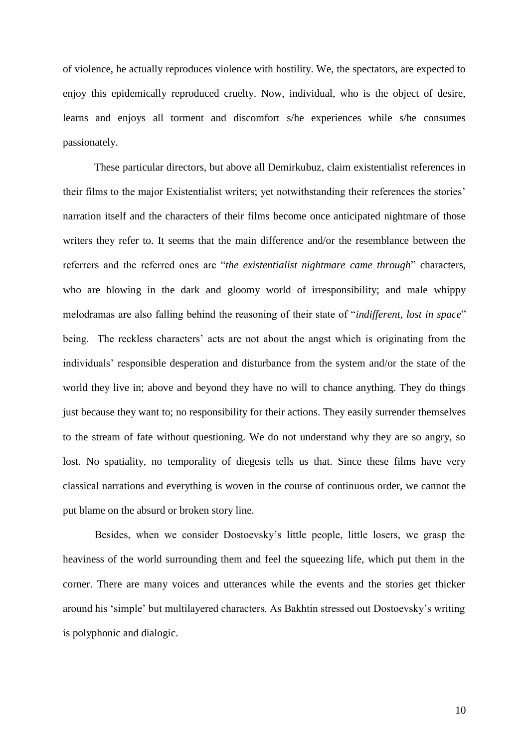of violence, he actually reproduces violence with hostility. We, the spectators, are expected to enjoy this epidemically reproduced cruelty. Now, individual, who is the object of desire, learns and enjoys all torment and discomfort s/he experiences while s/he consumes passionately.

These particular directors, but above all Demirkubuz, claim existentialist references in their films to the major Existentialist writers; yet notwithstanding their references the stories' narration itself and the characters of their films become once anticipated nightmare of those writers they refer to. It seems that the main difference and/or the resemblance between the referrers and the referred ones are "*the existentialist nightmare came through*" characters, who are blowing in the dark and gloomy world of irresponsibility; and male whippy melodramas are also falling behind the reasoning of their state of "*indifferent, lost in space*" being. The reckless characters' acts are not about the angst which is originating from the individuals' responsible desperation and disturbance from the system and/or the state of the world they live in; above and beyond they have no will to chance anything. They do things just because they want to; no responsibility for their actions. They easily surrender themselves to the stream of fate without questioning. We do not understand why they are so angry, so lost. No spatiality, no temporality of diegesis tells us that. Since these films have very classical narrations and everything is woven in the course of continuous order, we cannot the put blame on the absurd or broken story line.

Besides, when we consider Dostoevsky's little people, little losers, we grasp the heaviness of the world surrounding them and feel the squeezing life, which put them in the corner. There are many voices and utterances while the events and the stories get thicker around his 'simple' but multilayered characters. As Bakhtin stressed out Dostoevsky's writing is polyphonic and dialogic.

10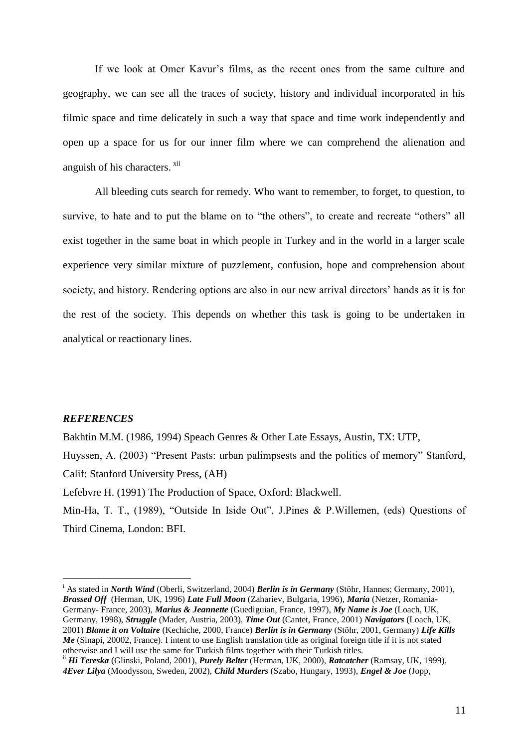If we look at Omer Kavur's films, as the recent ones from the same culture and geography, we can see all the traces of society, history and individual incorporated in his filmic space and time delicately in such a way that space and time work independently and open up a space for us for our inner film where we can comprehend the alienation and anguish of his characters. <sup>xii</sup>

All bleeding cuts search for remedy. Who want to remember, to forget, to question, to survive, to hate and to put the blame on to "the others", to create and recreate "others" all exist together in the same boat in which people in Turkey and in the world in a larger scale experience very similar mixture of puzzlement, confusion, hope and comprehension about society, and history. Rendering options are also in our new arrival directors' hands as it is for the rest of the society. This depends on whether this task is going to be undertaken in analytical or reactionary lines.

## *REFERENCES*

<u>.</u>

Bakhtin M.M. (1986, 1994) Speach Genres & Other Late Essays, Austin, TX: UTP, Huyssen, A. (2003) "Present Pasts: urban palimpsests and the politics of memory" Stanford, Calif: Stanford University Press, (AH) Lefebvre H. (1991) The Production of Space, Oxford: Blackwell.

Min-Ha, T. T., (1989), "Outside In Iside Out", J.Pines & P.Willemen, (eds) Questions of Third Cinema, London: BFI.

<sup>i</sup> As stated in *North Wind* (Oberli, Switzerland, 2004) *Berlin is in Germany* (Stöhr, Hannes; Germany, 2001), *Brassed Off* (Herman, UK, 1996) *Late Full Moon* (Zahariev, Bulgaria, 1996), *Maria* (Netzer, Romania-Germany- France, 2003), *Marius & Jeannette* (Guediguian, France, 1997), *My Name is Joe* (Loach, UK, Germany, 1998), *Struggle* (Mader, Austria, 2003), *Time Out* (Cantet, France, 2001) *Navigators* (Loach, UK, 2001) *Blame it on Voltaire* (Kechiche, 2000, France) *Berlin is in Germany* (Stöhr, 2001, Germany) *Life Kills Me* (Sinapi, 20002, France). I intent to use English translation title as original foreign title if it is not stated otherwise and I will use the same for Turkish films together with their Turkish titles.

ii *Hi Tereska* (Glinski, Poland, 2001), *Purely Belter* (Herman, UK, 2000), *Ratcatcher* (Ramsay, UK, 1999), *4Ever Lilya* (Moodysson, Sweden, 2002), *Child Murders* (Szabo, Hungary, 1993), *Engel & Joe* (Jopp,